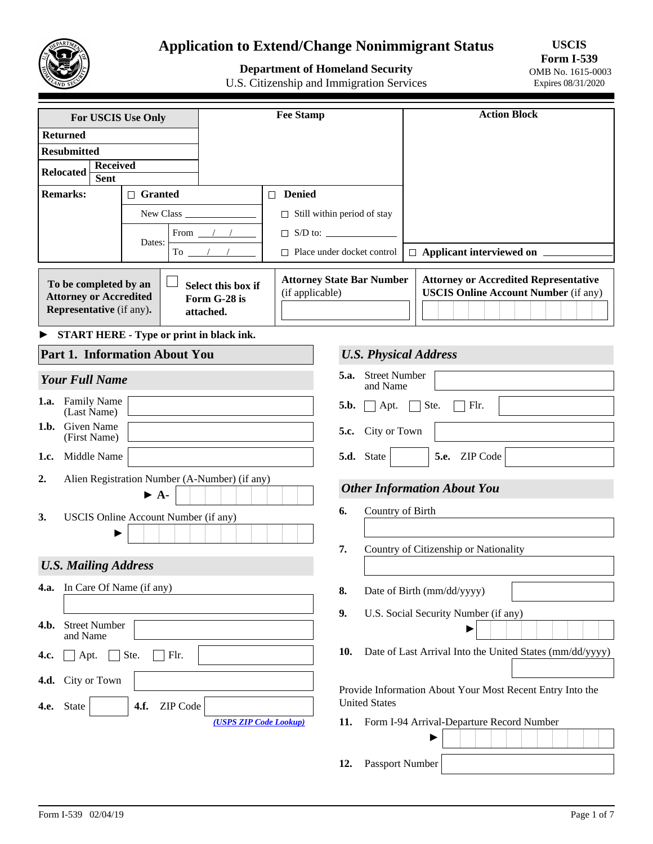

# **Application to Extend/Change Nonimmigrant Status**

# **Department of Homeland Security**

U.S. Citizenship and Immigration Services

**USCIS Form I-539**  OMB No. 1615-0003 Expires 08/31/2020

| For USCIS Use Only                                                                                                                           |                                      |                                                 | <b>Fee Stamp</b>                                          |                                          |                                       | <b>Action Block</b>                                                                         |  |  |  |  |  |  |
|----------------------------------------------------------------------------------------------------------------------------------------------|--------------------------------------|-------------------------------------------------|-----------------------------------------------------------|------------------------------------------|---------------------------------------|---------------------------------------------------------------------------------------------|--|--|--|--|--|--|
| <b>Returned</b>                                                                                                                              |                                      |                                                 |                                                           |                                          |                                       |                                                                                             |  |  |  |  |  |  |
| <b>Resubmitted</b>                                                                                                                           |                                      |                                                 |                                                           |                                          |                                       |                                                                                             |  |  |  |  |  |  |
| <b>Received</b><br><b>Relocated</b>                                                                                                          |                                      |                                                 |                                                           |                                          |                                       |                                                                                             |  |  |  |  |  |  |
| <b>Sent</b>                                                                                                                                  |                                      |                                                 |                                                           |                                          |                                       |                                                                                             |  |  |  |  |  |  |
| <b>Remarks:</b>                                                                                                                              | $\Box$ Granted                       |                                                 | □ Denied                                                  |                                          |                                       |                                                                                             |  |  |  |  |  |  |
|                                                                                                                                              |                                      |                                                 | $\Box$ Still within period of stay                        |                                          |                                       |                                                                                             |  |  |  |  |  |  |
|                                                                                                                                              |                                      | From $\frac{1}{2}$                              |                                                           |                                          |                                       |                                                                                             |  |  |  |  |  |  |
|                                                                                                                                              | Dates:                               | To $\frac{1}{\sqrt{1-\frac{1}{2}}}$             |                                                           | $\Box$ Place under docket control        |                                       | $\Box$ Applicant interviewed on $\Box$                                                      |  |  |  |  |  |  |
| To be completed by an<br>Select this box if<br><b>Attorney or Accredited</b><br>Form G-28 is<br><b>Representative</b> (if any).<br>attached. |                                      |                                                 | <b>Attorney State Bar Number</b><br>(if applicable)       |                                          |                                       | <b>Attorney or Accredited Representative</b><br><b>USCIS Online Account Number (if any)</b> |  |  |  |  |  |  |
|                                                                                                                                              |                                      | <b>START HERE - Type or print in black ink.</b> |                                                           |                                          |                                       |                                                                                             |  |  |  |  |  |  |
| Part 1. Information About You                                                                                                                |                                      |                                                 |                                                           |                                          |                                       | <b>U.S. Physical Address</b>                                                                |  |  |  |  |  |  |
| <b>Your Full Name</b>                                                                                                                        |                                      |                                                 |                                                           | <b>Street Number</b><br>5.a.<br>and Name |                                       |                                                                                             |  |  |  |  |  |  |
| <b>Family Name</b><br>1.a.<br>(Last Name)                                                                                                    |                                      |                                                 |                                                           | 5.b.<br>$\Box$ Apt.                      |                                       | Ste.<br>$\Box$ Flr.<br>$\sim 10$                                                            |  |  |  |  |  |  |
| Given Name<br>1.b.<br>(First Name)                                                                                                           |                                      |                                                 |                                                           | City or Town<br>5.c.                     |                                       |                                                                                             |  |  |  |  |  |  |
| Middle Name<br>1.c.                                                                                                                          |                                      |                                                 |                                                           | 5.d. State                               |                                       | 5.e. ZIP Code<br>$ \hspace{-.02in} \hspace{-.02in} \hspace{-.02in} $                        |  |  |  |  |  |  |
| 2.                                                                                                                                           |                                      | Alien Registration Number (A-Number) (if any)   |                                                           |                                          |                                       | <b>Other Information About You</b>                                                          |  |  |  |  |  |  |
|                                                                                                                                              | $\blacktriangleright$ A-             |                                                 |                                                           |                                          | Country of Birth                      |                                                                                             |  |  |  |  |  |  |
| 3.                                                                                                                                           | USCIS Online Account Number (if any) |                                                 |                                                           | 6.                                       |                                       |                                                                                             |  |  |  |  |  |  |
|                                                                                                                                              |                                      |                                                 |                                                           |                                          |                                       |                                                                                             |  |  |  |  |  |  |
|                                                                                                                                              |                                      |                                                 |                                                           | 7.                                       | Country of Citizenship or Nationality |                                                                                             |  |  |  |  |  |  |
| <b>U.S. Mailing Address</b>                                                                                                                  |                                      |                                                 |                                                           |                                          |                                       |                                                                                             |  |  |  |  |  |  |
| In Care Of Name (if any)<br>4.a.                                                                                                             |                                      |                                                 |                                                           | 8.                                       |                                       | Date of Birth (mm/dd/yyyy)                                                                  |  |  |  |  |  |  |
|                                                                                                                                              |                                      |                                                 |                                                           | 9.                                       |                                       | U.S. Social Security Number (if any)                                                        |  |  |  |  |  |  |
| <b>Street Number</b><br>4.b.<br>and Name                                                                                                     |                                      |                                                 |                                                           |                                          |                                       |                                                                                             |  |  |  |  |  |  |
| Apt.<br>4.c.                                                                                                                                 | Ste.<br>Flr.                         |                                                 |                                                           | 10.                                      |                                       | Date of Last Arrival Into the United States (mm/dd/yyyy)                                    |  |  |  |  |  |  |
| 4.d. City or Town                                                                                                                            |                                      |                                                 |                                                           |                                          |                                       |                                                                                             |  |  |  |  |  |  |
|                                                                                                                                              |                                      |                                                 | Provide Information About Your Most Recent Entry Into the |                                          |                                       |                                                                                             |  |  |  |  |  |  |
| State<br>$\vert \vert$<br>4.e.                                                                                                               | 4.f.<br>ZIP Code                     |                                                 |                                                           | <b>United States</b>                     |                                       |                                                                                             |  |  |  |  |  |  |
|                                                                                                                                              |                                      | (USPS ZIP Code Lookup)                          |                                                           | 11.                                      |                                       | Form I-94 Arrival-Departure Record Number                                                   |  |  |  |  |  |  |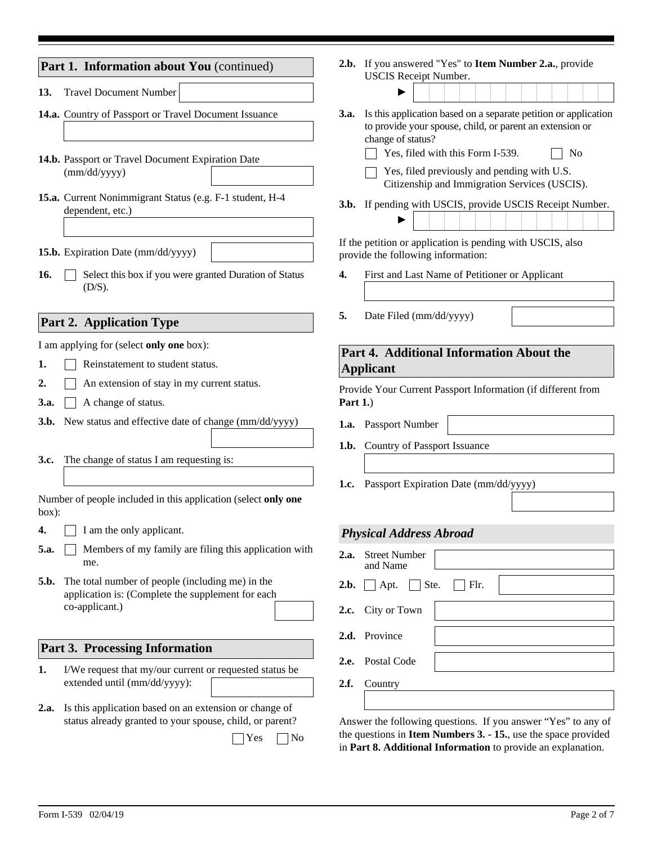|                  | Part 1. Information about You (continued)                                                                                                        |                                                                                                  | 2.b. If you answered "Yes" to Item Number 2.a., provide                                                                                                                                                 |  |  |  |  |  |  |
|------------------|--------------------------------------------------------------------------------------------------------------------------------------------------|--------------------------------------------------------------------------------------------------|---------------------------------------------------------------------------------------------------------------------------------------------------------------------------------------------------------|--|--|--|--|--|--|
| 13.              | <b>Travel Document Number</b>                                                                                                                    |                                                                                                  | <b>USCIS</b> Receipt Number.                                                                                                                                                                            |  |  |  |  |  |  |
|                  | 14.a. Country of Passport or Travel Document Issuance                                                                                            |                                                                                                  | Is this application based on a separate petition or application<br>3.a.<br>to provide your spouse, child, or parent an extension or<br>change of status?                                                |  |  |  |  |  |  |
|                  | 14.b. Passport or Travel Document Expiration Date<br>(mm/dd/yyyy)                                                                                |                                                                                                  | Yes, filed with this Form I-539.<br>N <sub>0</sub><br>Yes, filed previously and pending with U.S.<br>Citizenship and Immigration Services (USCIS).                                                      |  |  |  |  |  |  |
|                  | 15.a. Current Nonimmigrant Status (e.g. F-1 student, H-4<br>dependent, etc.)                                                                     |                                                                                                  | 3.b. If pending with USCIS, provide USCIS Receipt Number.                                                                                                                                               |  |  |  |  |  |  |
|                  | 15.b. Expiration Date (mm/dd/yyyy)                                                                                                               | If the petition or application is pending with USCIS, also<br>provide the following information: |                                                                                                                                                                                                         |  |  |  |  |  |  |
| 16.              | Select this box if you were granted Duration of Status<br>(D/S).                                                                                 | First and Last Name of Petitioner or Applicant<br>4.                                             |                                                                                                                                                                                                         |  |  |  |  |  |  |
|                  | <b>Part 2. Application Type</b>                                                                                                                  | 5.                                                                                               | Date Filed (mm/dd/yyyy)                                                                                                                                                                                 |  |  |  |  |  |  |
|                  | I am applying for (select only one box):                                                                                                         |                                                                                                  | Part 4. Additional Information About the                                                                                                                                                                |  |  |  |  |  |  |
| 1.               | Reinstatement to student status.                                                                                                                 |                                                                                                  | <b>Applicant</b>                                                                                                                                                                                        |  |  |  |  |  |  |
| $\overline{2}$ . | An extension of stay in my current status.                                                                                                       |                                                                                                  | Provide Your Current Passport Information (if different from                                                                                                                                            |  |  |  |  |  |  |
| 3.a.             | A change of status.                                                                                                                              | Part $1$ .)                                                                                      |                                                                                                                                                                                                         |  |  |  |  |  |  |
| 3.b.             | New status and effective date of change (mm/dd/yyyy)                                                                                             | 1.a.                                                                                             | <b>Passport Number</b>                                                                                                                                                                                  |  |  |  |  |  |  |
|                  |                                                                                                                                                  | 1.b.                                                                                             | Country of Passport Issuance                                                                                                                                                                            |  |  |  |  |  |  |
| 3.c.             | The change of status I am requesting is:                                                                                                         |                                                                                                  |                                                                                                                                                                                                         |  |  |  |  |  |  |
|                  |                                                                                                                                                  | 1.c.                                                                                             | Passport Expiration Date (mm/dd/yyyy)                                                                                                                                                                   |  |  |  |  |  |  |
| box):            | Number of people included in this application (select only one                                                                                   |                                                                                                  |                                                                                                                                                                                                         |  |  |  |  |  |  |
| 4.               | I am the only applicant.                                                                                                                         |                                                                                                  | <b>Physical Address Abroad</b>                                                                                                                                                                          |  |  |  |  |  |  |
| 5.a.             | Members of my family are filing this application with                                                                                            | 2.a.                                                                                             | <b>Street Number</b>                                                                                                                                                                                    |  |  |  |  |  |  |
|                  | me.                                                                                                                                              |                                                                                                  | and Name                                                                                                                                                                                                |  |  |  |  |  |  |
| 5.b.             | The total number of people (including me) in the<br>application is: (Complete the supplement for each                                            | 2.b.                                                                                             | $\Box$ Flr.<br>Apt.<br>Ste.                                                                                                                                                                             |  |  |  |  |  |  |
|                  | co-applicant.)                                                                                                                                   | 2.c.                                                                                             | City or Town                                                                                                                                                                                            |  |  |  |  |  |  |
|                  |                                                                                                                                                  |                                                                                                  | 2.d. Province                                                                                                                                                                                           |  |  |  |  |  |  |
|                  | <b>Part 3. Processing Information</b>                                                                                                            | 2.e.                                                                                             | Postal Code                                                                                                                                                                                             |  |  |  |  |  |  |
| 1.               | I/We request that my/our current or requested status be<br>extended until (mm/dd/yyyy):                                                          | 2.f.                                                                                             | Country                                                                                                                                                                                                 |  |  |  |  |  |  |
|                  |                                                                                                                                                  |                                                                                                  |                                                                                                                                                                                                         |  |  |  |  |  |  |
| 2.a.             | Is this application based on an extension or change of<br>status already granted to your spouse, child, or parent?<br>Yes<br>$\overline{\rm No}$ |                                                                                                  | Answer the following questions. If you answer "Yes" to any of<br>the questions in <b>Item Numbers 3. - 15.</b> , use the space provided<br>in Part 8. Additional Information to provide an explanation. |  |  |  |  |  |  |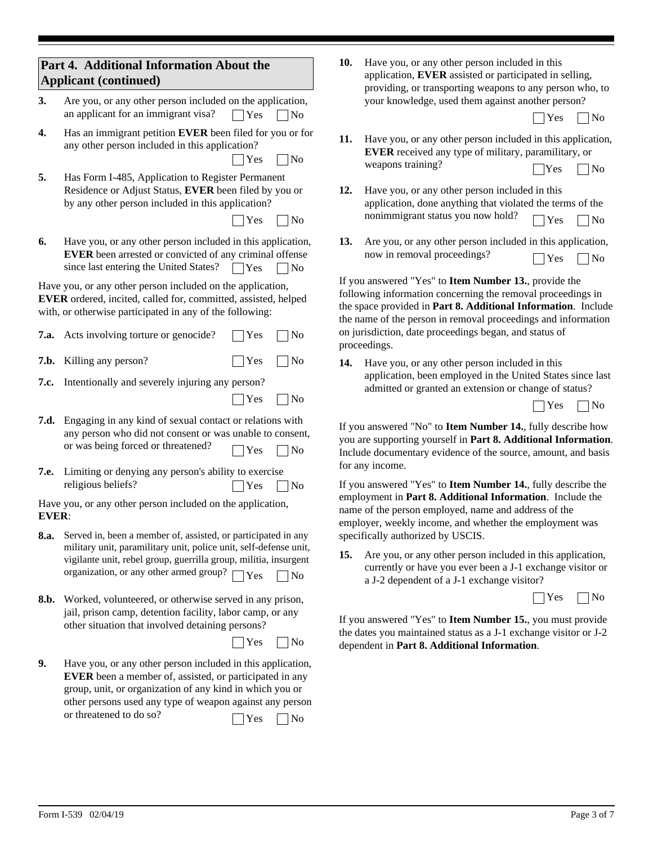| Part 4. Additional Information About the<br><b>Applicant (continued)</b>                                                                                                                 |                                                                                                                                                                                                                                                                                         |                                                                                                                                                                                | Have you, or any other person included in this<br>application, EVER assisted or participated in selling,<br>providing, or transporting weapons to any person who, to                                                                                   |  |  |  |  |  |
|------------------------------------------------------------------------------------------------------------------------------------------------------------------------------------------|-----------------------------------------------------------------------------------------------------------------------------------------------------------------------------------------------------------------------------------------------------------------------------------------|--------------------------------------------------------------------------------------------------------------------------------------------------------------------------------|--------------------------------------------------------------------------------------------------------------------------------------------------------------------------------------------------------------------------------------------------------|--|--|--|--|--|
| 3.                                                                                                                                                                                       | Are you, or any other person included on the application,<br>an applicant for an immigrant visa?<br>$\bigcap$ Yes<br> No                                                                                                                                                                |                                                                                                                                                                                | your knowledge, used them against another person?<br>Yes<br> No                                                                                                                                                                                        |  |  |  |  |  |
| 4.                                                                                                                                                                                       | Has an immigrant petition EVER been filed for you or for<br>any other person included in this application?<br>Yes<br>$\sqrt{ }$ No                                                                                                                                                      | 11.                                                                                                                                                                            | Have you, or any other person included in this application,<br>EVER received any type of military, paramilitary, or<br>weapons training?<br>Yes<br>$ $ No                                                                                              |  |  |  |  |  |
| 5.                                                                                                                                                                                       | Has Form I-485, Application to Register Permanent<br>Residence or Adjust Status, EVER been filed by you or<br>by any other person included in this application?<br>Yes<br>No                                                                                                            | 12.                                                                                                                                                                            | Have you, or any other person included in this<br>application, done anything that violated the terms of the<br>nonimmigrant status you now hold?<br>Yes<br>$\overline{\rm No}$                                                                         |  |  |  |  |  |
| 6.                                                                                                                                                                                       | Have you, or any other person included in this application,<br>EVER been arrested or convicted of any criminal offense<br>since last entering the United States?<br>$\bigcap$ Yes<br>N <sub>o</sub>                                                                                     | 13.                                                                                                                                                                            | Are you, or any other person included in this application,<br>now in removal proceedings?<br>$\log$<br>Yes                                                                                                                                             |  |  |  |  |  |
| Have you, or any other person included on the application,<br>EVER ordered, incited, called for, committed, assisted, helped<br>with, or otherwise participated in any of the following: |                                                                                                                                                                                                                                                                                         |                                                                                                                                                                                | If you answered "Yes" to Item Number 13., provide the<br>following information concerning the removal proceedings in<br>the space provided in Part 8. Additional Information. Include<br>the name of the person in removal proceedings and information |  |  |  |  |  |
|                                                                                                                                                                                          | <b>7.a.</b> Acts involving torture or genocide?<br>Yes<br>N <sub>0</sub>                                                                                                                                                                                                                |                                                                                                                                                                                | on jurisdiction, date proceedings began, and status of<br>proceedings.                                                                                                                                                                                 |  |  |  |  |  |
| 7.b.<br>7.c.                                                                                                                                                                             | Killing any person?<br>Yes<br>No<br>Intentionally and severely injuring any person?<br>Yes<br>N <sub>o</sub>                                                                                                                                                                            | 14.                                                                                                                                                                            | Have you, or any other person included in this<br>application, been employed in the United States since last<br>admitted or granted an extension or change of status?                                                                                  |  |  |  |  |  |
|                                                                                                                                                                                          |                                                                                                                                                                                                                                                                                         |                                                                                                                                                                                | $\overline{\rm No}$<br>Yes                                                                                                                                                                                                                             |  |  |  |  |  |
| 7.d.                                                                                                                                                                                     | Engaging in any kind of sexual contact or relations with<br>any person who did not consent or was unable to consent,<br>or was being forced or threatened?<br>Yes<br>N <sub>o</sub>                                                                                                     |                                                                                                                                                                                | If you answered "No" to Item Number 14., fully describe how<br>you are supporting yourself in Part 8. Additional Information.<br>Include documentary evidence of the source, amount, and basis<br>for any income.                                      |  |  |  |  |  |
| 7.e.                                                                                                                                                                                     | Limiting or denying any person's ability to exercise<br>religious beliefs?<br>N <sub>o</sub><br> Yes                                                                                                                                                                                    |                                                                                                                                                                                | If you answered "Yes" to Item Number 14., fully describe the                                                                                                                                                                                           |  |  |  |  |  |
| Have you, or any other person included on the application,<br><b>EVER:</b>                                                                                                               |                                                                                                                                                                                                                                                                                         |                                                                                                                                                                                | employment in Part 8. Additional Information. Include the<br>name of the person employed, name and address of the<br>employer, weekly income, and whether the employment was                                                                           |  |  |  |  |  |
| 8.a.                                                                                                                                                                                     | Served in, been a member of, assisted, or participated in any<br>military unit, paramilitary unit, police unit, self-defense unit,<br>vigilante unit, rebel group, guerrilla group, militia, insurgent<br>organization, or any other armed group?<br><sup>1</sup> Yes<br>N <sub>o</sub> | 15.                                                                                                                                                                            | specifically authorized by USCIS.<br>Are you, or any other person included in this application,<br>currently or have you ever been a J-1 exchange visitor or<br>a J-2 dependent of a J-1 exchange visitor?                                             |  |  |  |  |  |
| 8.b.                                                                                                                                                                                     | Worked, volunteered, or otherwise served in any prison,                                                                                                                                                                                                                                 |                                                                                                                                                                                | Yes<br>$\sqrt{N_0}$                                                                                                                                                                                                                                    |  |  |  |  |  |
|                                                                                                                                                                                          | jail, prison camp, detention facility, labor camp, or any<br>other situation that involved detaining persons?<br>Yes<br> No                                                                                                                                                             | If you answered "Yes" to Item Number 15., you must provide<br>the dates you maintained status as a J-1 exchange visitor or J-2<br>dependent in Part 8. Additional Information. |                                                                                                                                                                                                                                                        |  |  |  |  |  |
| 9.                                                                                                                                                                                       | Have you, or any other person included in this application,<br><b>EVER</b> been a member of, assisted, or participated in any<br>group, unit, or organization of any kind in which you or<br>other persons used any type of weapon against any person                                   |                                                                                                                                                                                |                                                                                                                                                                                                                                                        |  |  |  |  |  |

Yes No

or threatened to do so?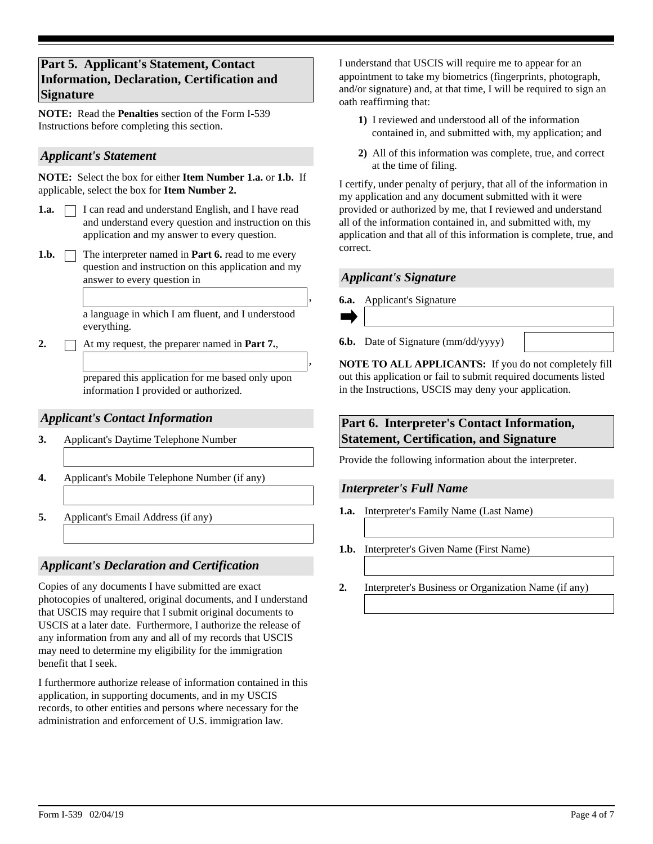# **Part 5. Applicant's Statement, Contact Information, Declaration, Certification and Signature**

**NOTE:** Read the **Penalties** section of the Form I-539 Instructions before completing this section.

### *Applicant's Statement*

**NOTE:** Select the box for either **Item Number 1.a.** or **1.b.** If applicable, select the box for **Item Number 2.**

- □ I can read and understand English, and I have read and understand every question and instruction on this application and my answer to every question. **1.a.**
- 1.b.  $\Box$  The interpreter named in **Part 6.** read to me every question and instruction on this application and my answer to every question in

a language in which I am fluent, and I understood everything.

**2.** At my request, the preparer named in **Part 7.**,

prepared this application for me based only upon information I provided or authorized.

# *Applicant's Contact Information*

- **3.** Applicant's Daytime Telephone Number
- **4.** Applicant's Mobile Telephone Number (if any)
- **5.** Applicant's Email Address (if any)

# *Applicant's Declaration and Certification*

Copies of any documents I have submitted are exact photocopies of unaltered, original documents, and I understand that USCIS may require that I submit original documents to USCIS at a later date. Furthermore, I authorize the release of any information from any and all of my records that USCIS may need to determine my eligibility for the immigration benefit that I seek.

I furthermore authorize release of information contained in this application, in supporting documents, and in my USCIS records, to other entities and persons where necessary for the administration and enforcement of U.S. immigration law.

I understand that USCIS will require me to appear for an appointment to take my biometrics (fingerprints, photograph, and/or signature) and, at that time, I will be required to sign an oath reaffirming that:

- **1)** I reviewed and understood all of the information contained in, and submitted with, my application; and
- **2)** All of this information was complete, true, and correct at the time of filing.

I certify, under penalty of perjury, that all of the information in my application and any document submitted with it were provided or authorized by me, that I reviewed and understand all of the information contained in, and submitted with, my application and that all of this information is complete, true, and correct.

#### *Applicant's Signature*

**6.a.** Applicant's Signature



,

,

**6.b.** Date of Signature (mm/dd/yyyy)

**NOTE TO ALL APPLICANTS:** If you do not completely fill out this application or fail to submit required documents listed in the Instructions, USCIS may deny your application.

## **Part 6. Interpreter's Contact Information, Statement, Certification, and Signature**

Provide the following information about the interpreter.

#### *Interpreter's Full Name*

- **1.a.** Interpreter's Family Name (Last Name)
- **1.b.** Interpreter's Given Name (First Name)
- **2.** Interpreter's Business or Organization Name (if any)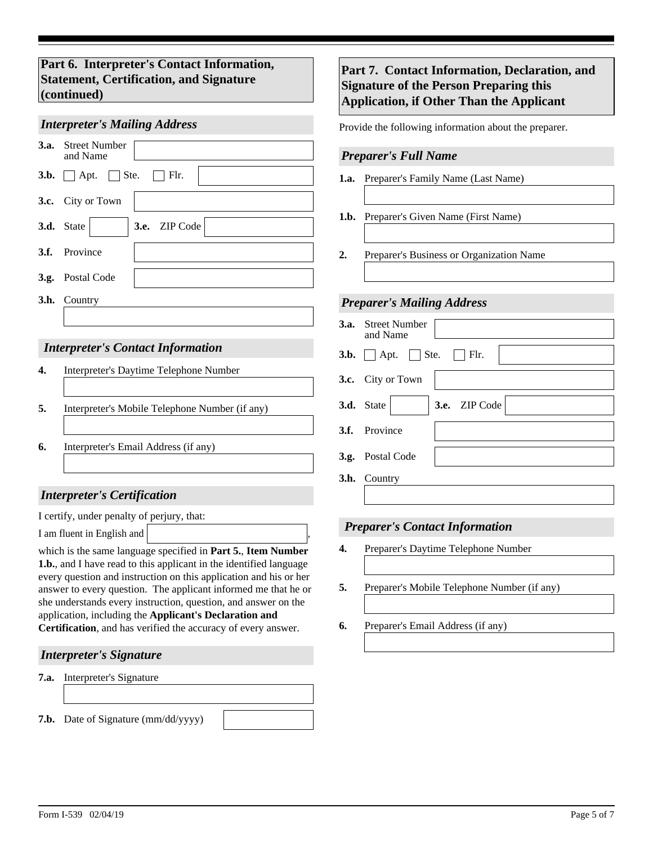# **Part 6. Interpreter's Contact Information, Statement, Certification, and Signature (continued)**

#### *Interpreter's Mailing Address*

| <b>3.a.</b> Street Number<br>and Name              |
|----------------------------------------------------|
| $\vert \vert$ Flr.<br><b>3.b.</b> $\Box$ Apt. Ste. |
| 3.c. City or Town                                  |
| $\parallel$ 3.e. ZIP Code<br>3.d. State            |
| 3.f. Province                                      |
| 3.g. Postal Code                                   |
| <b>3.h.</b> Country                                |
|                                                    |

#### *Interpreter's Contact Information*

- **4.** Interpreter's Daytime Telephone Number
- **5.** Interpreter's Mobile Telephone Number (if any)
- **6.** Interpreter's Email Address (if any)

# *Interpreter's Certification*

I certify, under penalty of perjury, that:

I am fluent in English and

which is the same language specified in **Part 5.**, **Item Number 1.b.**, and I have read to this applicant in the identified language every question and instruction on this application and his or her answer to every question. The applicant informed me that he or she understands every instruction, question, and answer on the application, including the **Applicant's Declaration and Certification**, and has verified the accuracy of every answer.

#### *Interpreter's Signature*

**7.a.** Interpreter's Signature

**7.b.** Date of Signature (mm/dd/yyyy)

# **Part 7. Contact Information, Declaration, and Signature of the Person Preparing this Application, if Other Than the Applicant**

Provide the following information about the preparer.

#### *Preparer's Full Name*

- **1.a.** Preparer's Family Name (Last Name)
- **1.b.** Preparer's Given Name (First Name)
- **2.** Preparer's Business or Organization Name

#### *Preparer's Mailing Address*

| <b>3.a.</b> Street Number<br>and Name             |
|---------------------------------------------------|
| 3.b. $\Box$ Apt. $\Box$ Ste.<br>$\Box$ Flr.       |
| 3.c. City or Town                                 |
| $\blacktriangleright$ 3.e. ZIP Code<br>3.d. State |
| 3.f. Province                                     |
| 3.g. Postal Code                                  |
| <b>3.h.</b> Country                               |

#### *Preparer's Contact Information*

- **4.** Preparer's Daytime Telephone Number
- **5.** Preparer's Mobile Telephone Number (if any)
- **6.** Preparer's Email Address (if any)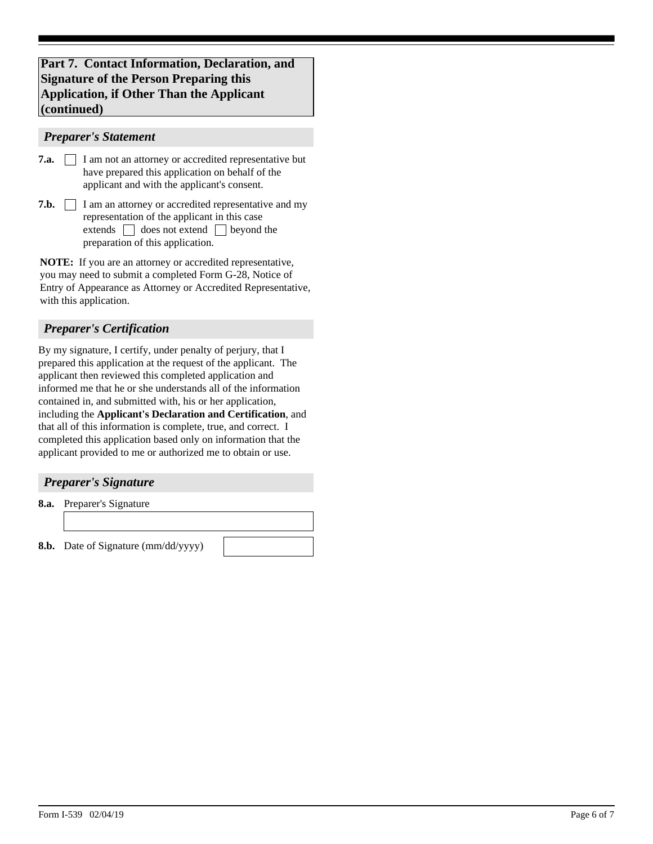# **Part 7. Contact Information, Declaration, and Signature of the Person Preparing this Application, if Other Than the Applicant (continued)**

#### *Preparer's Statement*

- **7.a. I** am not an attorney or accredited representative but have prepared this application on behalf of the applicant and with the applicant's consent.
- **7.b.**  $\Box$  I am an attorney or accredited representative and my preparation of this application. representation of the applicant in this case extends  $\Box$  does not extend  $\Box$  beyond the

**NOTE:** If you are an attorney or accredited representative, you may need to submit a completed Form G-28, Notice of Entry of Appearance as Attorney or Accredited Representative, with this application.

# *Preparer's Certification*

By my signature, I certify, under penalty of perjury, that I prepared this application at the request of the applicant. The applicant then reviewed this completed application and informed me that he or she understands all of the information contained in, and submitted with, his or her application, including the **Applicant's Declaration and Certification**, and that all of this information is complete, true, and correct. I completed this application based only on information that the applicant provided to me or authorized me to obtain or use.

#### *Preparer's Signature*

**8.a.** Preparer's Signature

**8.b.** Date of Signature (mm/dd/yyyy)